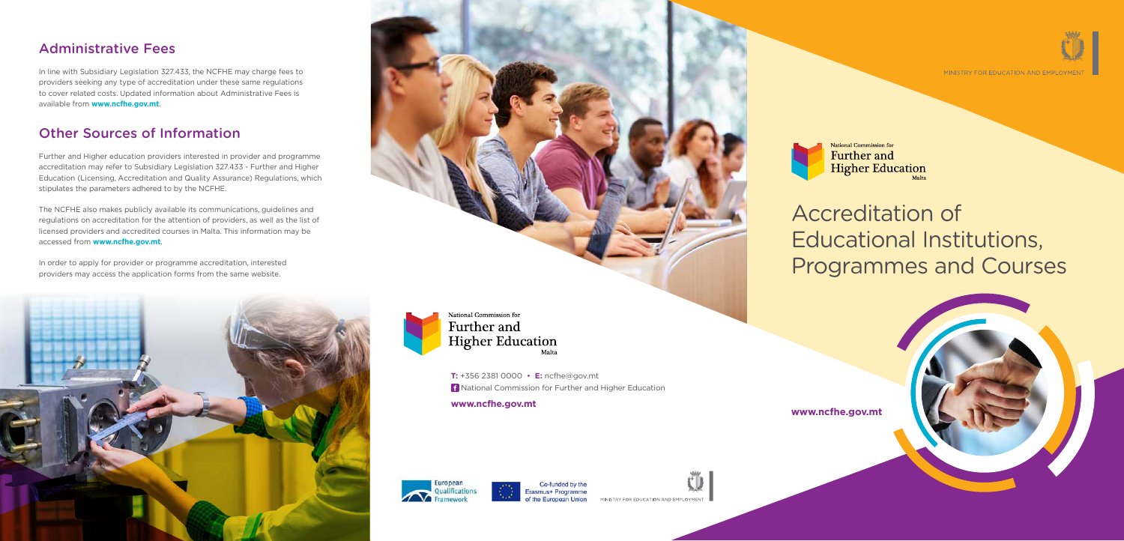# Accreditation of Educational Institutions, Programmes and Courses



**T:** +356 2381 0000 • **E:** ncfhe@gov.mt National Commission for Further and Higher Education

**www.ncfhe.gov.mt www.ncfhe.gov.mt**





Erasmus+ Programme the European Union

MINISTRY FOR EDUCATION AND EMPLOYMENT



MINISTRY FOR FDUCATION AND FMPI OYME



### Administrative Fees

In line with Subsidiary Legislation 327.433, the NCFHE may charge fees to providers seeking any type of accreditation under these same regulations to cover related costs. Updated information about Administrative Fees is available from **www.ncfhe.gov.mt**.

## Other Sources of Information

Further and Higher education providers interested in provider and programme accreditation may refer to Subsidiary Legislation 327.433 - Further and Higher Education (Licensing, Accreditation and Quality Assurance) Regulations, which stipulates the parameters adhered to by the NCFHE.

The NCFHE also makes publicly available its communications, guidelines and regulations on accreditation for the attention of providers, as well as the list of licensed providers and accredited courses in Malta. This information may be accessed from **www.ncfhe.gov.mt**.

In order to apply for provider or programme accreditation, interested providers may access the application forms from the same website.





National Commission for Further and **Higher Education**